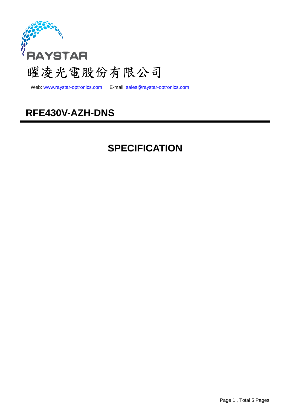

web: www.raystar-optronics.com E-mail: sales@raystar-optronics.com

## **RFE430V-AZH-DNS**

# **SPECIFICATION**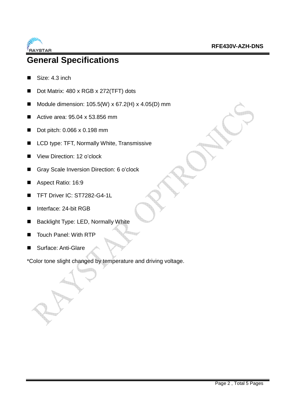

### **General Specifications**

- Size: 4.3 inch
- Dot Matrix: 480 x RGB x 272(TFT) dots
- Module dimension:  $105.5(W) \times 67.2(H) \times 4.05(D)$  mm
- Active area:  $95.04 \times 53.856$  mm
- Dot pitch: 0.066 x 0.198 mm
- LCD type: TFT, Normally White, Transmissive
- View Direction: 12 o'clock
- Gray Scale Inversion Direction: 6 o'clock
- Aspect Ratio: 16:9
- TFT Driver IC: ST7282-G4-1L
- Interface: 24-bit RGB
- Backlight Type: LED, Normally White
- Touch Panel: With RTP
- Surface: Anti-Glare

\*Color tone slight changed by temperature and driving voltage.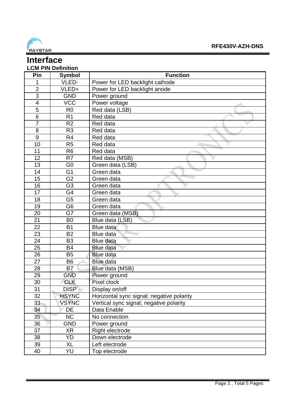

#### **Interface LCM PIN Definition**

| Pin                     | <b>Symbol</b>  | <b>Function</b>                           |
|-------------------------|----------------|-------------------------------------------|
| 1                       | VLED-          | Power for LED backlight cathode           |
| $\overline{2}$          | VLED+          | Power for LED backlight anode             |
| $\overline{3}$          | <b>GND</b>     | Power ground                              |
| $\overline{\mathbf{4}}$ | <b>VCC</b>     | Power voltage                             |
| 5                       | R <sub>0</sub> | Red data (LSB)                            |
| $\overline{6}$          | R <sub>1</sub> | Red data                                  |
| $\overline{7}$          | R <sub>2</sub> | Red data                                  |
| 8                       | R <sub>3</sub> | Red data                                  |
| 9                       | R <sub>4</sub> | Red data                                  |
| 10                      | R <sub>5</sub> | Red data                                  |
| 11                      | R <sub>6</sub> | Red data                                  |
| 12                      | R <sub>7</sub> | Red data (MSB)                            |
| 13                      | G <sub>0</sub> | Green data (LSB)                          |
| 14                      | G <sub>1</sub> | Green data                                |
| 15                      | G <sub>2</sub> | Green data                                |
| 16                      | G <sub>3</sub> | Green data                                |
| 17                      | G4             | Green data                                |
| 18                      | G <sub>5</sub> | Green data                                |
| 19                      | G <sub>6</sub> | Green data                                |
| 20                      | G7             | Green data (MSB)                          |
| 21                      | B <sub>0</sub> | Blue data (LSB)                           |
| 22                      | B <sub>1</sub> | Blue data                                 |
| 23                      | <b>B2</b>      | Blue data                                 |
| 24                      | B <sub>3</sub> | <b>Blue data</b>                          |
| 25                      | <b>B4</b>      | <b>Blue data</b>                          |
| 26                      | <b>B5</b>      | <b>Blue data</b>                          |
| 27                      | B <sub>6</sub> | <b>Blue data</b>                          |
| 28                      | B <sub>7</sub> | Blue data (MSB)                           |
| 29                      | <b>GND</b>     | Power ground                              |
| 30                      | <b>CLK</b>     | Pixel clock                               |
| 31                      | <b>DISP</b>    | Display on/off                            |
| 32                      | <b>HSYNC</b>   | Horizontal sync signal; negative polarity |
| 33                      | <b>VSYNC</b>   | Vertical sync signal; negative polarity   |
| 34                      | DE             | Data Enable                               |
| 35                      | <b>NC</b>      | No connection                             |
| 36                      | <b>GND</b>     | Power ground                              |
| 37                      | <b>XR</b>      | Right electrode                           |
| 38                      | YD             | Down electrode                            |
| 39                      | XL             | Left electrode                            |
| 40                      | YU             | Top electrode                             |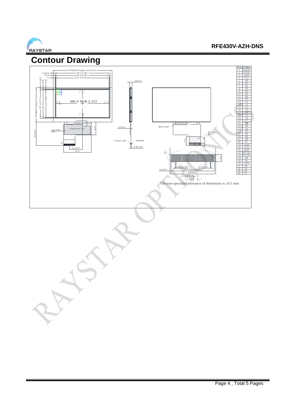

#### **RFE430V-AZH-DNS**